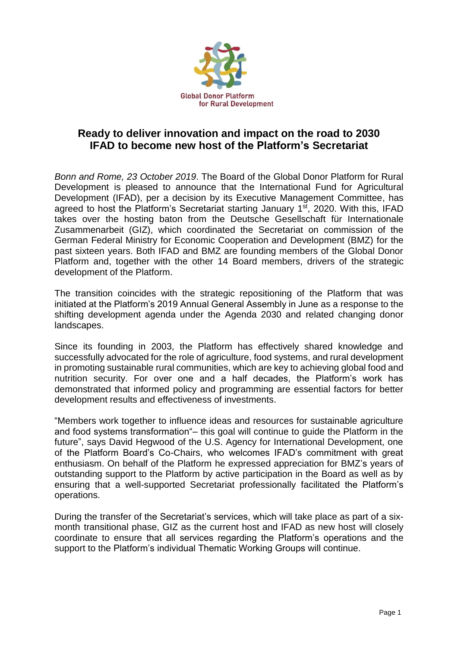

## **Ready to deliver innovation and impact on the road to 2030 IFAD to become new host of the Platform's Secretariat**

*Bonn and Rome, 23 October 2019*. The Board of the Global Donor Platform for Rural Development is pleased to announce that the International Fund for Agricultural Development (IFAD), per a decision by its Executive Management Committee, has agreed to host the Platform's Secretariat starting January 1<sup>st</sup>, 2020. With this, IFAD takes over the hosting baton from the Deutsche Gesellschaft für Internationale Zusammenarbeit (GIZ), which coordinated the Secretariat on commission of the German Federal Ministry for Economic Cooperation and Development (BMZ) for the past sixteen years. Both IFAD and BMZ are founding members of the Global Donor Platform and, together with the other 14 Board members, drivers of the strategic development of the Platform.

The transition coincides with the strategic repositioning of the Platform that was initiated at the Platform's 2019 Annual General Assembly in June as a response to the shifting development agenda under the Agenda 2030 and related changing donor landscapes.

Since its founding in 2003, the Platform has effectively shared knowledge and successfully advocated for the role of agriculture, food systems, and rural development in promoting sustainable rural communities, which are key to achieving global food and nutrition security. For over one and a half decades, the Platform's work has demonstrated that informed policy and programming are essential factors for better development results and effectiveness of investments.

"Members work together to influence ideas and resources for sustainable agriculture and food systems transformation"– this goal will continue to guide the Platform in the future", says David Hegwood of the U.S. Agency for International Development, one of the Platform Board's Co-Chairs, who welcomes IFAD's commitment with great enthusiasm. On behalf of the Platform he expressed appreciation for BMZ's years of outstanding support to the Platform by active participation in the Board as well as by ensuring that a well-supported Secretariat professionally facilitated the Platform's operations.

During the transfer of the Secretariat's services, which will take place as part of a sixmonth transitional phase, GIZ as the current host and IFAD as new host will closely coordinate to ensure that all services regarding the Platform's operations and the support to the Platform's individual Thematic Working Groups will continue.